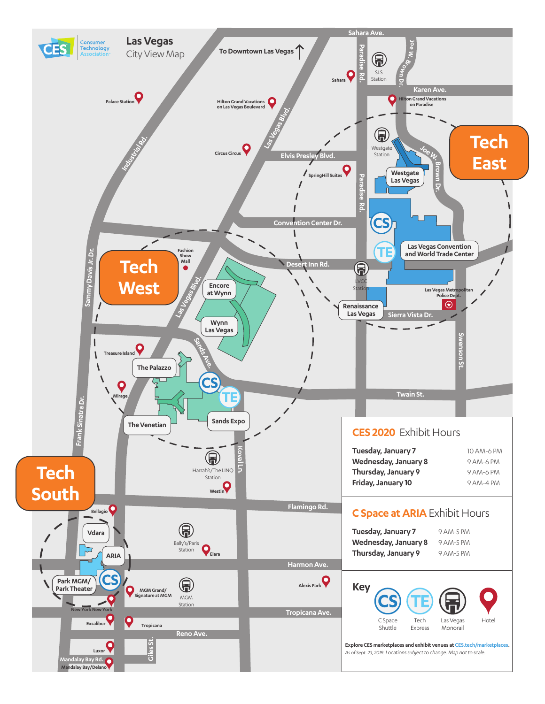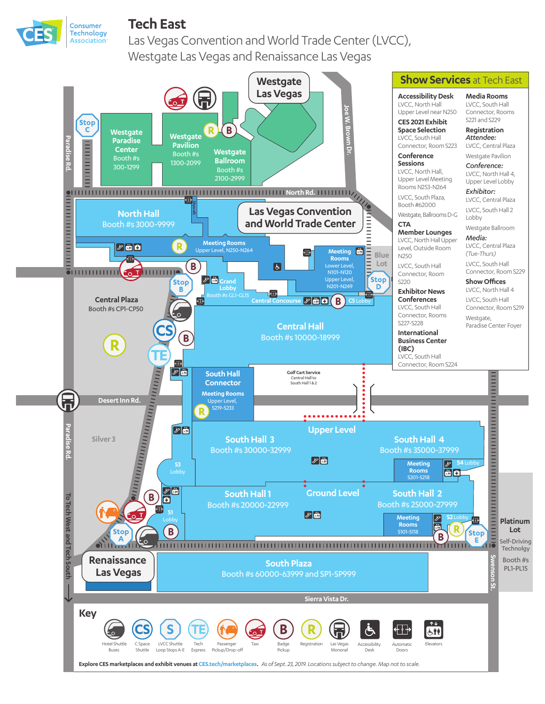

## **Tech East**

Las Vegas Convention and World Trade Center (LVCC), Westgate Las Vegas and Renaissance Las Vegas

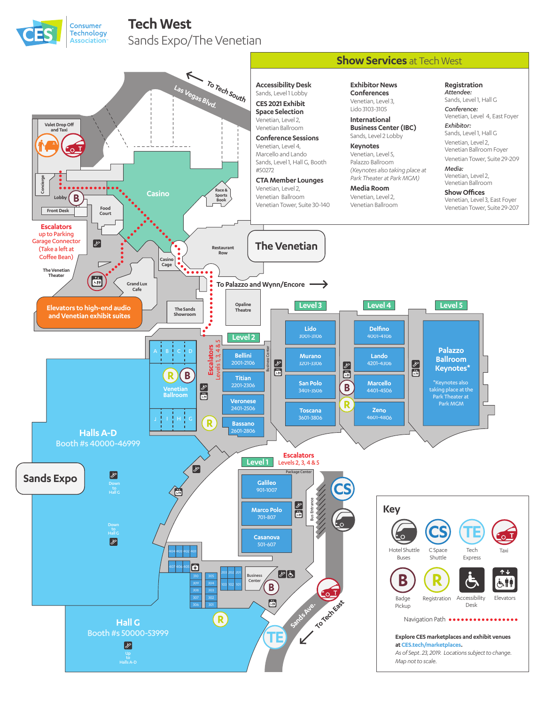

## **Tech West**

Sands Expo/The Venetian